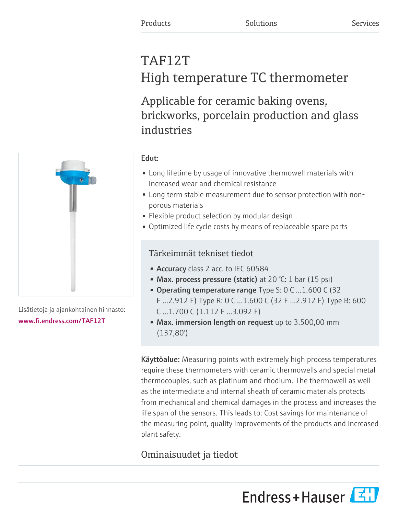# TAF12T High temperature TC thermometer

Applicable for ceramic baking ovens, brickworks, porcelain production and glass industries



Lisätietoja ja ajankohtainen hinnasto: [www.fi.endress.com/TAF12T](https://www.fi.endress.com/TAF12T)

### Edut:

- Long lifetime by usage of innovative thermowell materials with increased wear and chemical resistance
- Long term stable measurement due to sensor protection with nonporous materials
- Flexible product selection by modular design
- Optimized life cycle costs by means of replaceable spare parts

### Tärkeimmät tekniset tiedot

- Accuracy class 2 acc. to IEC 60584
- Max. process pressure (static) at 20 °C: 1 bar (15 psi)
- Operating temperature range Type S: 0 C ...1.600 C (32 F ...2.912 F) Type R: 0 C ...1.600 C (32 F ...2.912 F) Type B: 600 C ...1.700 C (1.112 F ...3.092 F)
- Max. immersion length on request up to 3.500,00 mm  $(137,80")$

Käyttöalue: Measuring points with extremely high process temperatures require these thermometers with ceramic thermowells and special metal thermocouples, such as platinum and rhodium. The thermowell as well as the intermediate and internal sheath of ceramic materials protects from mechanical and chemical damages in the process and increases the life span of the sensors. This leads to: Cost savings for maintenance of the measuring point, quality improvements of the products and increased plant safety.

## Ominaisuudet ja tiedot

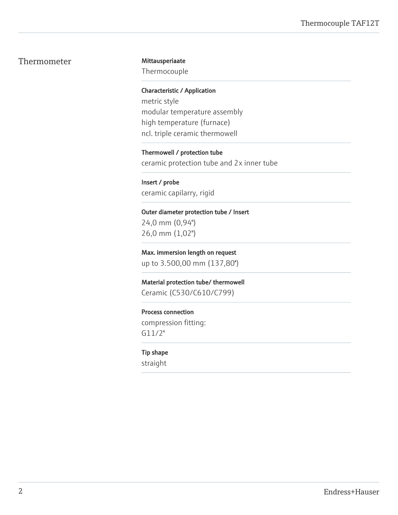### Thermometer Mittausperiaate

Thermocouple

Characteristic / Application metric style modular temperature assembly high temperature (furnace) ncl. triple ceramic thermowell

Thermowell / protection tube ceramic protection tube and 2x inner tube

Insert / probe ceramic capilarry, rigid

#### Outer diameter protection tube / Insert

24,0 mm (0,94") 26,0 mm (1,02")

Max. immersion length on request up to 3.500,00 mm (137,80'')

Material protection tube/ thermowell Ceramic (C530/C610/C799)

#### Process connection

compression fitting: G11/2"

Tip shape straight